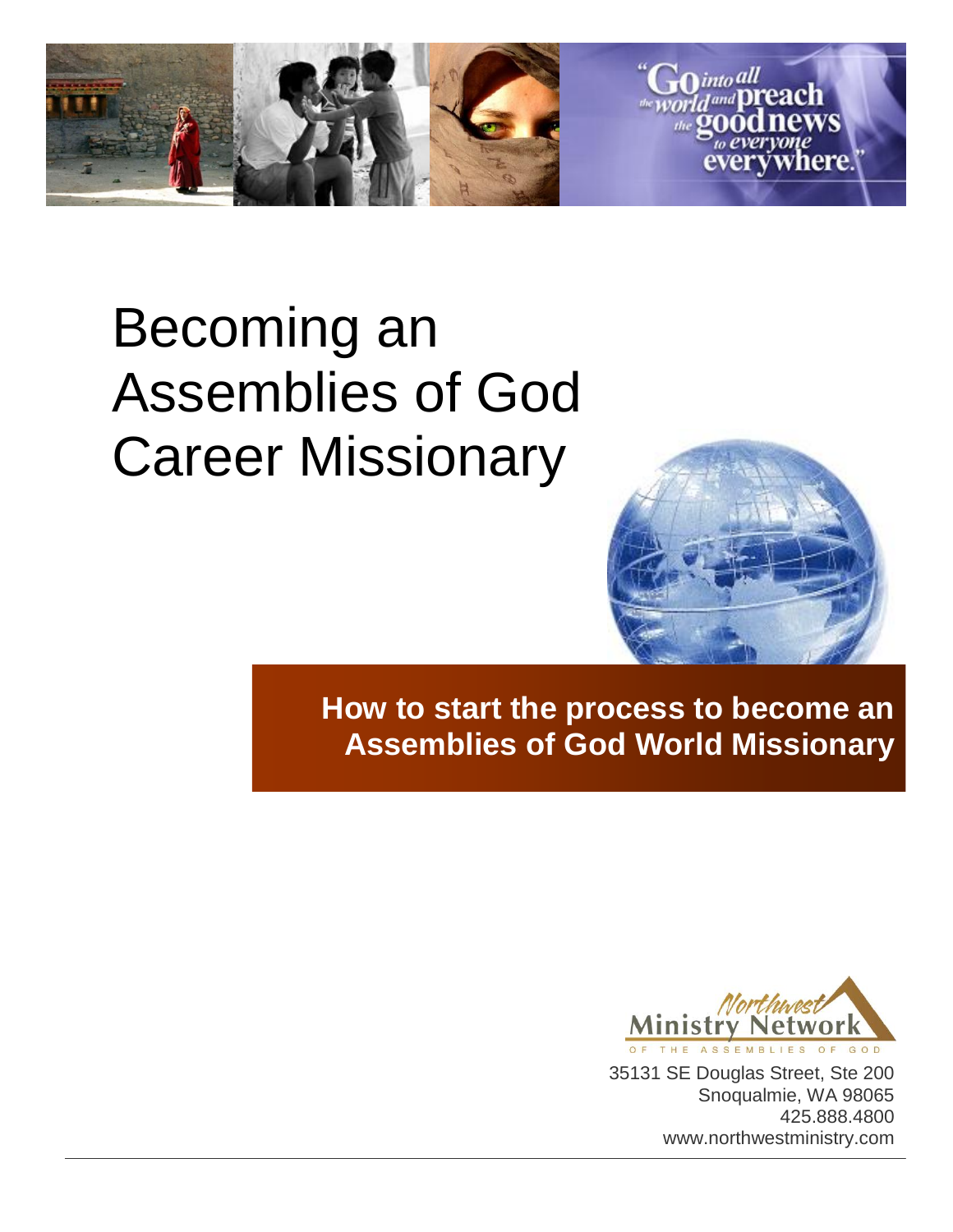

# Becoming an Assemblies of God Career Missionary



**How to start the process to become an Assemblies of God World Missionary**



35131 SE Douglas Street, Ste 200 Snoqualmie, WA 98065 425.888.4800 www.northwestministry.com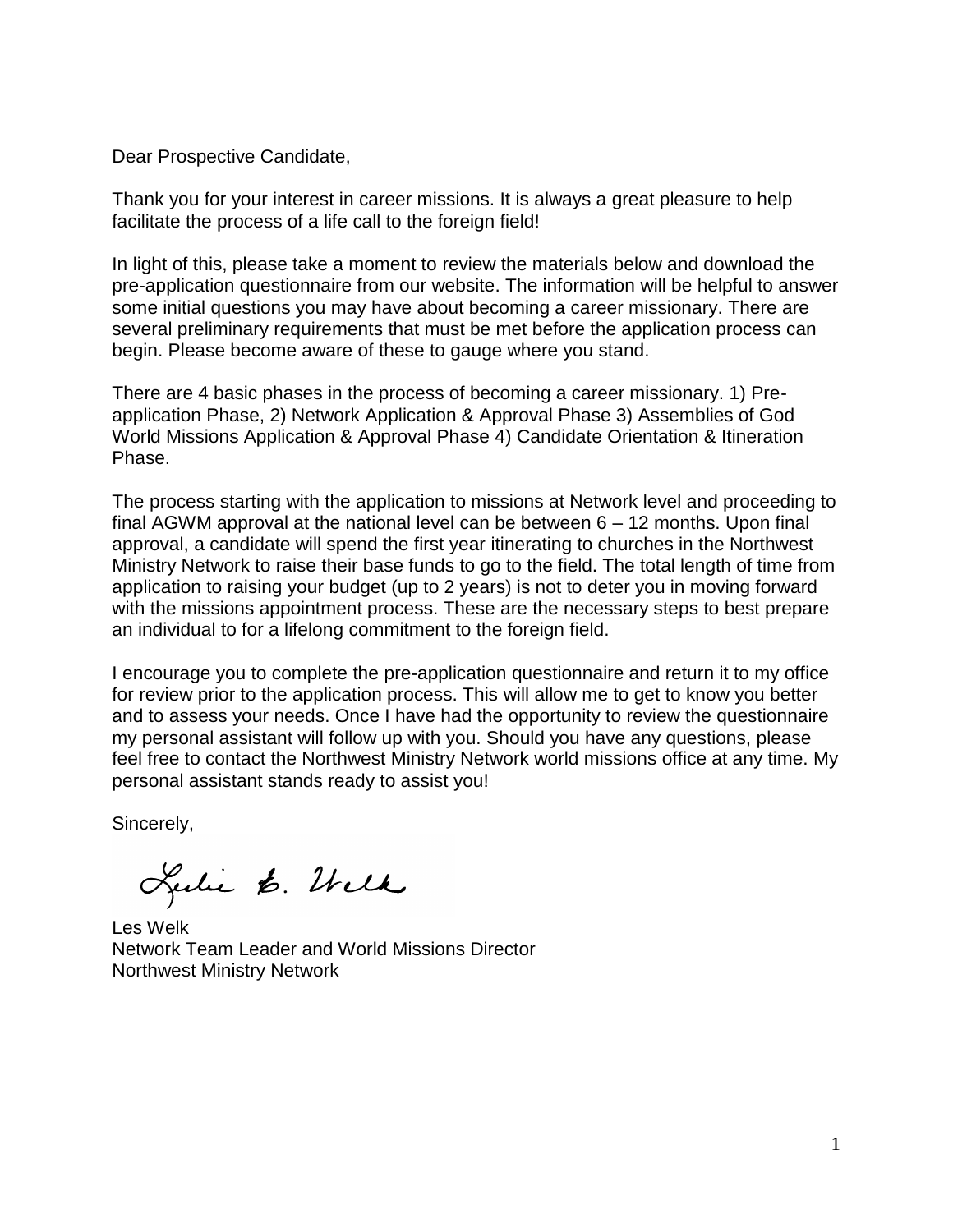Dear Prospective Candidate,

Thank you for your interest in career missions. It is always a great pleasure to help facilitate the process of a life call to the foreign field!

In light of this, please take a moment to review the materials below and download the pre-application questionnaire from our website. The information will be helpful to answer some initial questions you may have about becoming a career missionary. There are several preliminary requirements that must be met before the application process can begin. Please become aware of these to gauge where you stand.

There are 4 basic phases in the process of becoming a career missionary. 1) Preapplication Phase, 2) Network Application & Approval Phase 3) Assemblies of God World Missions Application & Approval Phase 4) Candidate Orientation & Itineration Phase.

The process starting with the application to missions at Network level and proceeding to final AGWM approval at the national level can be between 6 – 12 months. Upon final approval, a candidate will spend the first year itinerating to churches in the Northwest Ministry Network to raise their base funds to go to the field. The total length of time from application to raising your budget (up to 2 years) is not to deter you in moving forward with the missions appointment process. These are the necessary steps to best prepare an individual to for a lifelong commitment to the foreign field.

I encourage you to complete the pre-application questionnaire and return it to my office for review prior to the application process. This will allow me to get to know you better and to assess your needs. Once I have had the opportunity to review the questionnaire my personal assistant will follow up with you. Should you have any questions, please feel free to contact the Northwest Ministry Network world missions office at any time. My personal assistant stands ready to assist you!

Sincerely,

Lulie 6. Wilk

Les Welk Network Team Leader and World Missions Director Northwest Ministry Network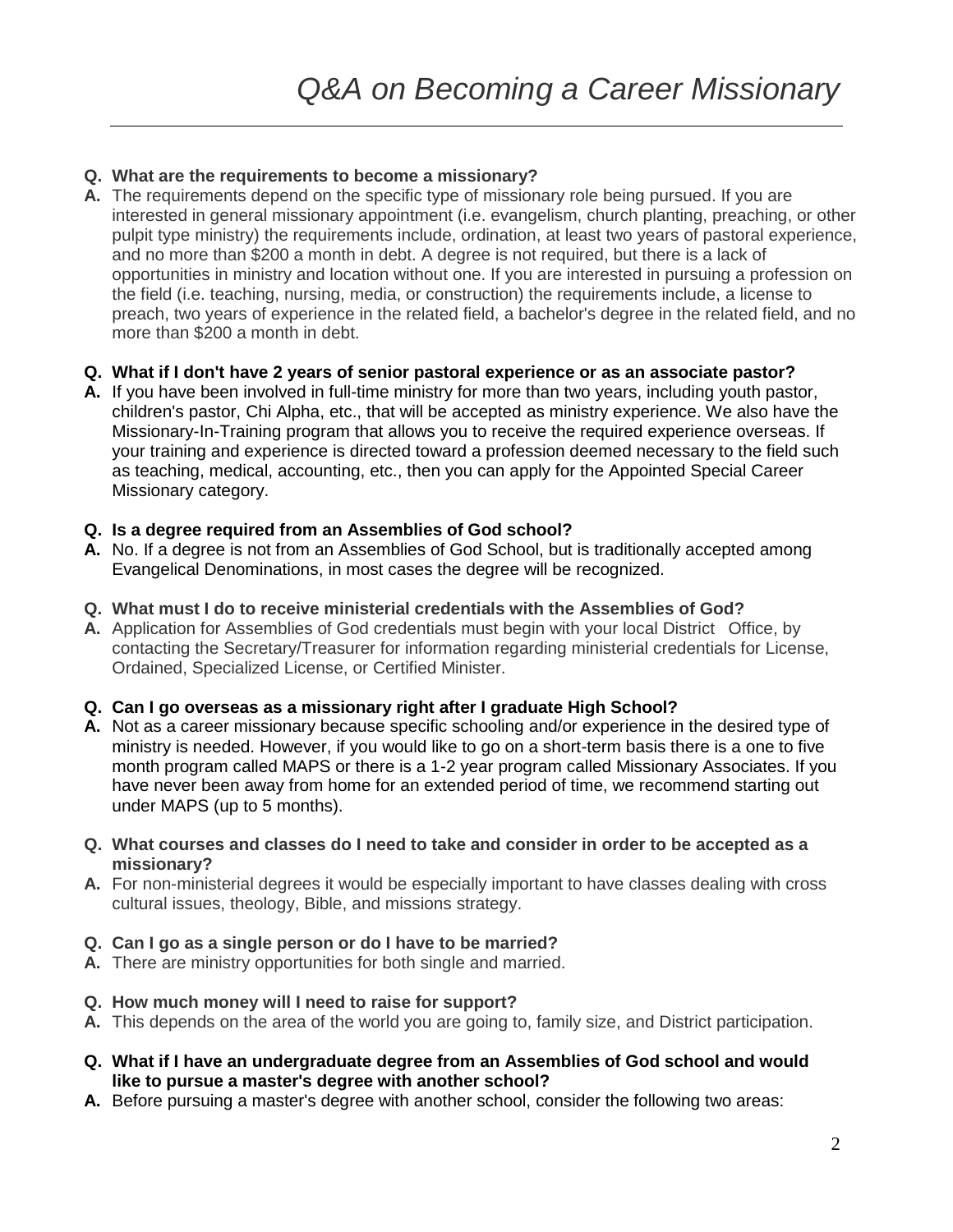#### **Q. What are the requirements to become a missionary?**

- **A.** The requirements depend on the specific type of missionary role being pursued. If you are interested in general missionary appointment (i.e. evangelism, church planting, preaching, or other pulpit type ministry) the requirements include, ordination, at least two years of pastoral experience, and no more than \$200 a month in debt. A degree is not required, but there is a lack of opportunities in ministry and location without one. If you are interested in pursuing a profession on the field (i.e. teaching, nursing, media, or construction) the requirements include, a license to preach, two years of experience in the related field, a bachelor's degree in the related field, and no more than \$200 a month in debt.
- **Q. What if I don't have 2 years of senior pastoral experience or as an associate pastor?**
- **A.** If you have been involved in full-time ministry for more than two years, including youth pastor, children's pastor, Chi Alpha, etc., that will be accepted as ministry experience. We also have the Missionary-In-Training program that allows you to receive the required experience overseas. If your training and experience is directed toward a profession deemed necessary to the field such as teaching, medical, accounting, etc., then you can apply for the Appointed Special Career Missionary category.

#### **Q. Is a degree required from an Assemblies of God school?**

- **A.** No. If a degree is not from an Assemblies of God School, but is traditionally accepted among Evangelical Denominations, in most cases the degree will be recognized.
- **Q. What must I do to receive ministerial credentials with the Assemblies of God?**
- **A.** Application for Assemblies of God credentials must begin with your local District Office, by contacting the Secretary/Treasurer for information regarding ministerial credentials for License, Ordained, Specialized License, or Certified Minister.

#### **Q. Can I go overseas as a missionary right after I graduate High School?**

- **A.** Not as a career missionary because specific schooling and/or experience in the desired type of ministry is needed. However, if you would like to go on a short-term basis there is a one to five month program called MAPS or there is a 1-2 year program called Missionary Associates. If you have never been away from home for an extended period of time, we recommend starting out under MAPS (up to 5 months).
- **Q. What courses and classes do I need to take and consider in order to be accepted as a missionary?**
- **A.** For non-ministerial degrees it would be especially important to have classes dealing with cross cultural issues, theology, Bible, and missions strategy.
- **Q. Can I go as a single person or do I have to be married?**
- **A.** There are ministry opportunities for both single and married.
- **Q. How much money will I need to raise for support?**
- **A.** This depends on the area of the world you are going to, family size, and District participation.
- **Q. What if I have an undergraduate degree from an Assemblies of God school and would like to pursue a master's degree with another school?**
- **A.** Before pursuing a master's degree with another school, consider the following two areas: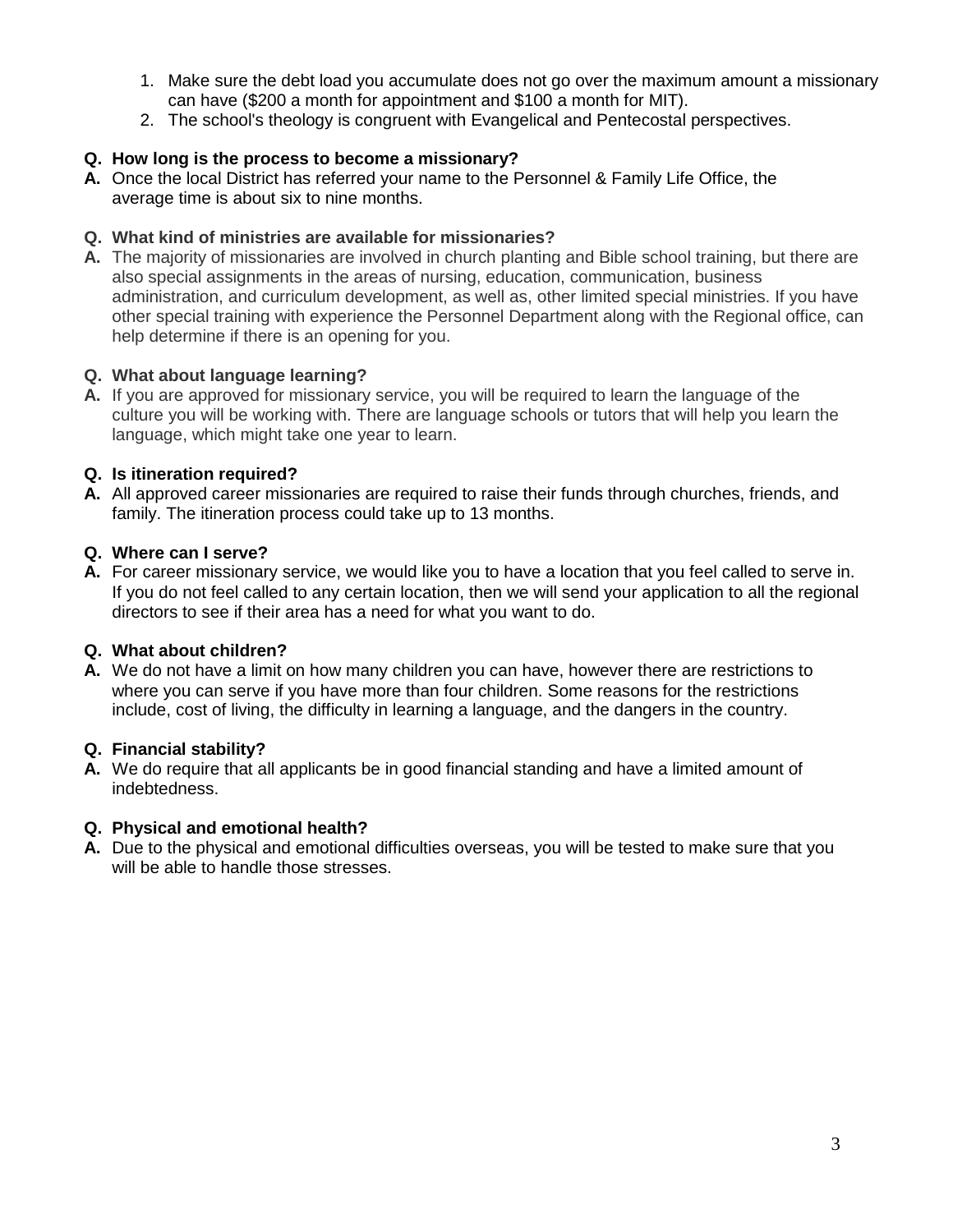- 1. Make sure the debt load you accumulate does not go over the maximum amount a missionary can have (\$200 a month for appointment and \$100 a month for MIT).
- 2. The school's theology is congruent with Evangelical and Pentecostal perspectives.

#### **Q. How long is the process to become a missionary?**

**A.** Once the local District has referred your name to the Personnel & Family Life Office, the average time is about six to nine months.

#### **Q. What kind of ministries are available for missionaries?**

**A.** The majority of missionaries are involved in church planting and Bible school training, but there are also special assignments in the areas of nursing, education, communication, business administration, and curriculum development, as well as, other limited special ministries. If you have other special training with experience the Personnel Department along with the Regional office, can help determine if there is an opening for you.

#### **Q. What about language learning?**

**A.** If you are approved for missionary service, you will be required to learn the language of the culture you will be working with. There are language schools or tutors that will help you learn the language, which might take one year to learn.

#### **Q. Is itineration required?**

**A.** All approved career missionaries are required to raise their funds through churches, friends, and family. The itineration process could take up to 13 months.

#### **Q. Where can I serve?**

**A.** For career missionary service, we would like you to have a location that you feel called to serve in. If you do not feel called to any certain location, then we will send your application to all the regional directors to see if their area has a need for what you want to do.

#### **Q. What about children?**

**A.** We do not have a limit on how many children you can have, however there are restrictions to where you can serve if you have more than four children. Some reasons for the restrictions include, cost of living, the difficulty in learning a language, and the dangers in the country.

#### **Q. Financial stability?**

**A.** We do require that all applicants be in good financial standing and have a limited amount of indebtedness.

#### **Q. Physical and emotional health?**

**A.** Due to the physical and emotional difficulties overseas, you will be tested to make sure that you will be able to handle those stresses.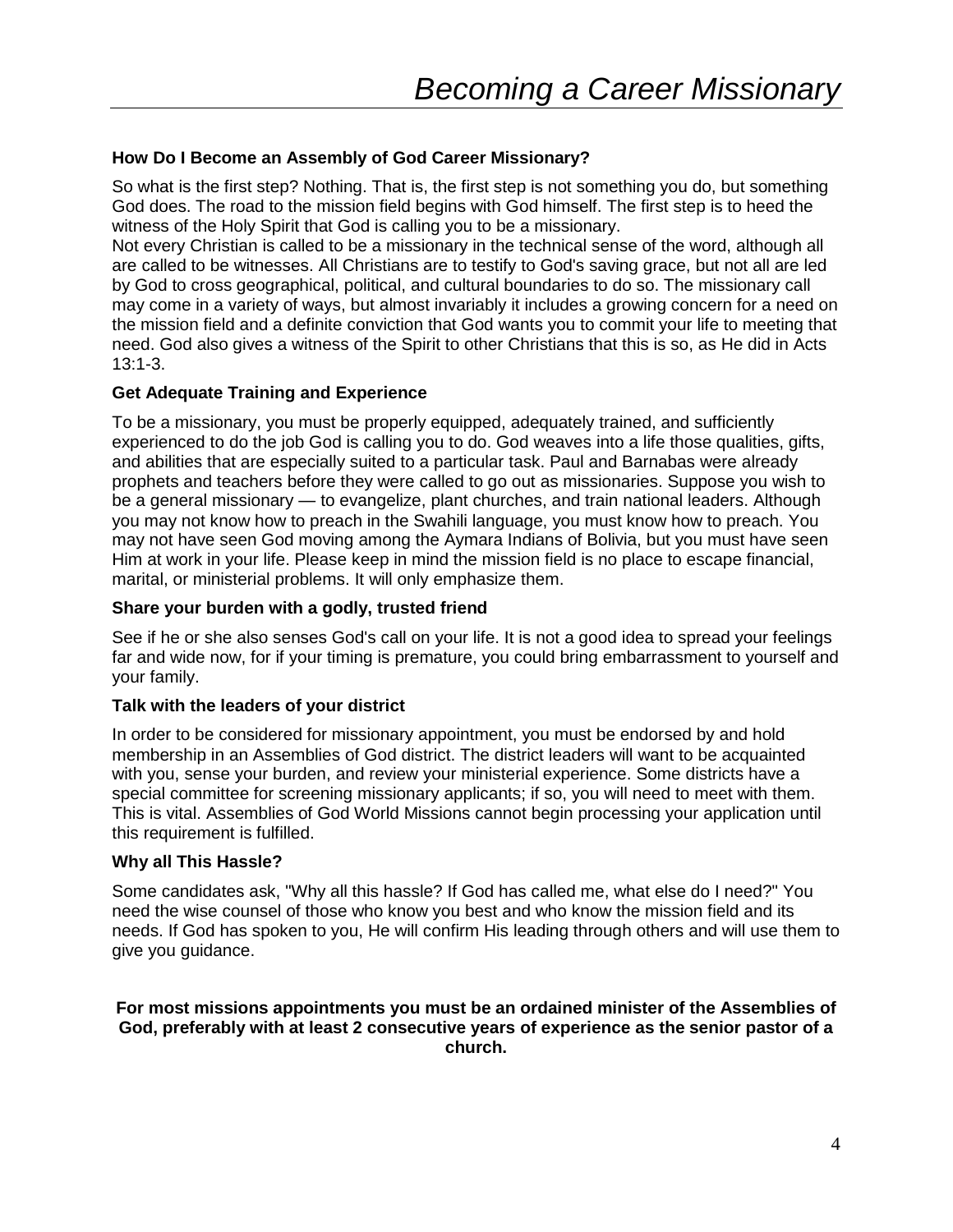#### **How Do I Become an Assembly of God Career Missionary?**

So what is the first step? Nothing. That is, the first step is not something you do, but something God does. The road to the mission field begins with God himself. The first step is to heed the witness of the Holy Spirit that God is calling you to be a missionary.

Not every Christian is called to be a missionary in the technical sense of the word, although all are called to be witnesses. All Christians are to testify to God's saving grace, but not all are led by God to cross geographical, political, and cultural boundaries to do so. The missionary call may come in a variety of ways, but almost invariably it includes a growing concern for a need on the mission field and a definite conviction that God wants you to commit your life to meeting that need. God also gives a witness of the Spirit to other Christians that this is so, as He did in Acts 13:1-3.

#### **Get Adequate Training and Experience**

To be a missionary, you must be properly equipped, adequately trained, and sufficiently experienced to do the job God is calling you to do. God weaves into a life those qualities, gifts, and abilities that are especially suited to a particular task. Paul and Barnabas were already prophets and teachers before they were called to go out as missionaries. Suppose you wish to be a general missionary — to evangelize, plant churches, and train national leaders. Although you may not know how to preach in the Swahili language, you must know how to preach. You may not have seen God moving among the Aymara Indians of Bolivia, but you must have seen Him at work in your life. Please keep in mind the mission field is no place to escape financial, marital, or ministerial problems. It will only emphasize them.

#### **Share your burden with a godly, trusted friend**

See if he or she also senses God's call on your life. It is not a good idea to spread your feelings far and wide now, for if your timing is premature, you could bring embarrassment to yourself and your family.

#### **Talk with the leaders of your district**

In order to be considered for missionary appointment, you must be endorsed by and hold membership in an Assemblies of God district. The district leaders will want to be acquainted with you, sense your burden, and review your ministerial experience. Some districts have a special committee for screening missionary applicants; if so, you will need to meet with them. This is vital. Assemblies of God World Missions cannot begin processing your application until this requirement is fulfilled.

#### **Why all This Hassle?**

Some candidates ask, "Why all this hassle? If God has called me, what else do I need?" You need the wise counsel of those who know you best and who know the mission field and its needs. If God has spoken to you, He will confirm His leading through others and will use them to give you guidance.

#### **For most missions appointments you must be an ordained minister of the Assemblies of God, preferably with at least 2 consecutive years of experience as the senior pastor of a church.**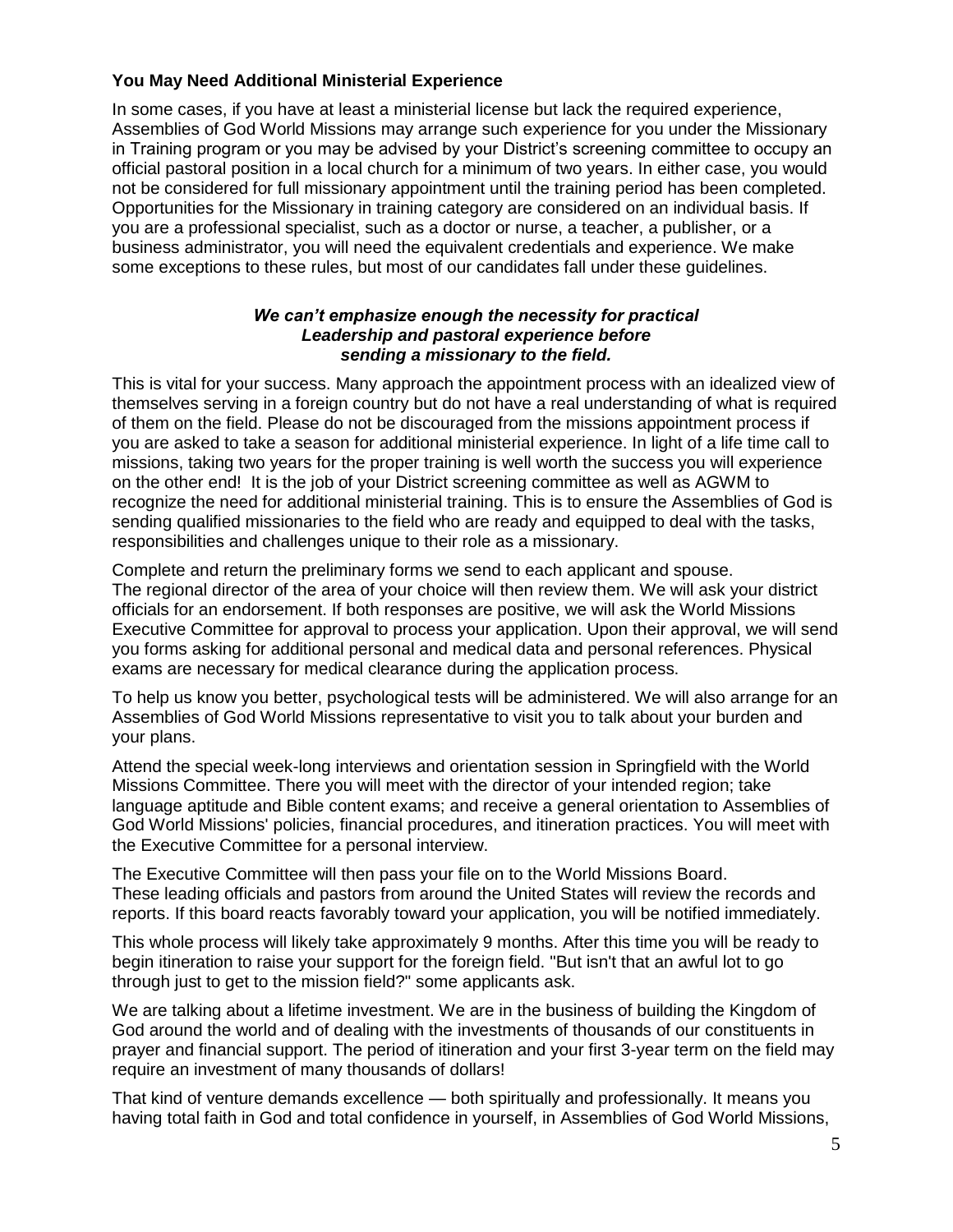#### **You May Need Additional Ministerial Experience**

In some cases, if you have at least a ministerial license but lack the required experience, Assemblies of God World Missions may arrange such experience for you under the Missionary in Training program or you may be advised by your District's screening committee to occupy an official pastoral position in a local church for a minimum of two years. In either case, you would not be considered for full missionary appointment until the training period has been completed. Opportunities for the Missionary in training category are considered on an individual basis. If you are a professional specialist, such as a doctor or nurse, a teacher, a publisher, or a business administrator, you will need the equivalent credentials and experience. We make some exceptions to these rules, but most of our candidates fall under these guidelines.

#### *We can't emphasize enough the necessity for practical Leadership and pastoral experience before sending a missionary to the field.*

This is vital for your success. Many approach the appointment process with an idealized view of themselves serving in a foreign country but do not have a real understanding of what is required of them on the field. Please do not be discouraged from the missions appointment process if you are asked to take a season for additional ministerial experience. In light of a life time call to missions, taking two years for the proper training is well worth the success you will experience on the other end! It is the job of your District screening committee as well as AGWM to recognize the need for additional ministerial training. This is to ensure the Assemblies of God is sending qualified missionaries to the field who are ready and equipped to deal with the tasks, responsibilities and challenges unique to their role as a missionary.

Complete and return the preliminary forms we send to each applicant and spouse. The regional director of the area of your choice will then review them. We will ask your district officials for an endorsement. If both responses are positive, we will ask the World Missions Executive Committee for approval to process your application. Upon their approval, we will send you forms asking for additional personal and medical data and personal references. Physical exams are necessary for medical clearance during the application process.

To help us know you better, psychological tests will be administered. We will also arrange for an Assemblies of God World Missions representative to visit you to talk about your burden and your plans.

Attend the special week-long interviews and orientation session in Springfield with the World Missions Committee. There you will meet with the director of your intended region; take language aptitude and Bible content exams; and receive a general orientation to Assemblies of God World Missions' policies, financial procedures, and itineration practices. You will meet with the Executive Committee for a personal interview.

The Executive Committee will then pass your file on to the World Missions Board. These leading officials and pastors from around the United States will review the records and reports. If this board reacts favorably toward your application, you will be notified immediately.

This whole process will likely take approximately 9 months. After this time you will be ready to begin itineration to raise your support for the foreign field. "But isn't that an awful lot to go through just to get to the mission field?" some applicants ask.

We are talking about a lifetime investment. We are in the business of building the Kingdom of God around the world and of dealing with the investments of thousands of our constituents in prayer and financial support. The period of itineration and your first 3-year term on the field may require an investment of many thousands of dollars!

That kind of venture demands excellence — both spiritually and professionally. It means you having total faith in God and total confidence in yourself, in Assemblies of God World Missions,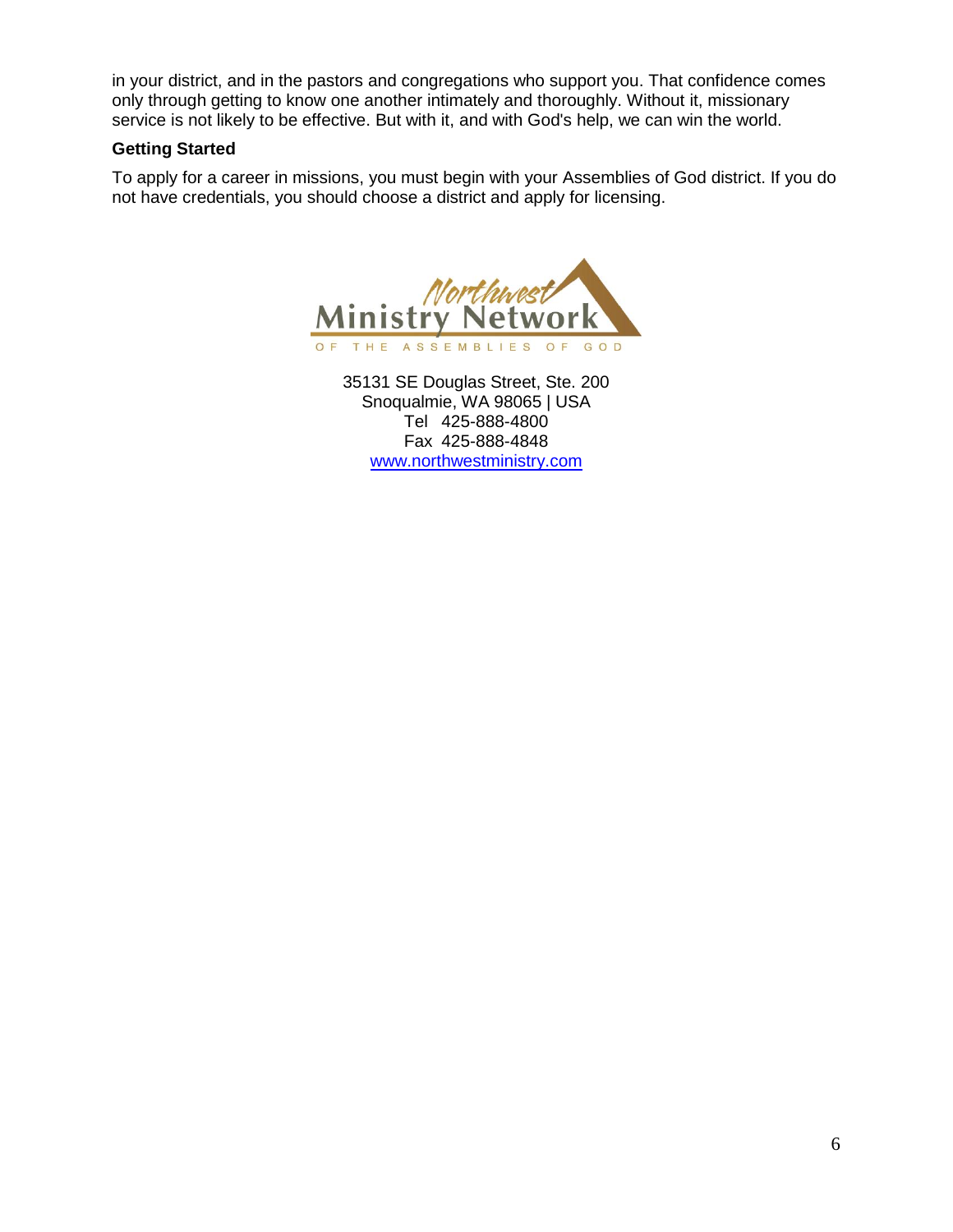in your district, and in the pastors and congregations who support you. That confidence comes only through getting to know one another intimately and thoroughly. Without it, missionary service is not likely to be effective. But with it, and with God's help, we can win the world.

#### **Getting Started**

To apply for a career in missions, you must begin with your Assemblies of God district. If you do not have credentials, you should choose a district and apply for licensing.



35131 SE Douglas Street, Ste. 200 Snoqualmie, WA 98065 | USA Tel 425-888-4800 Fax 425-888-4848 [www.northwestministry.com](http://www.northwestministry.com/)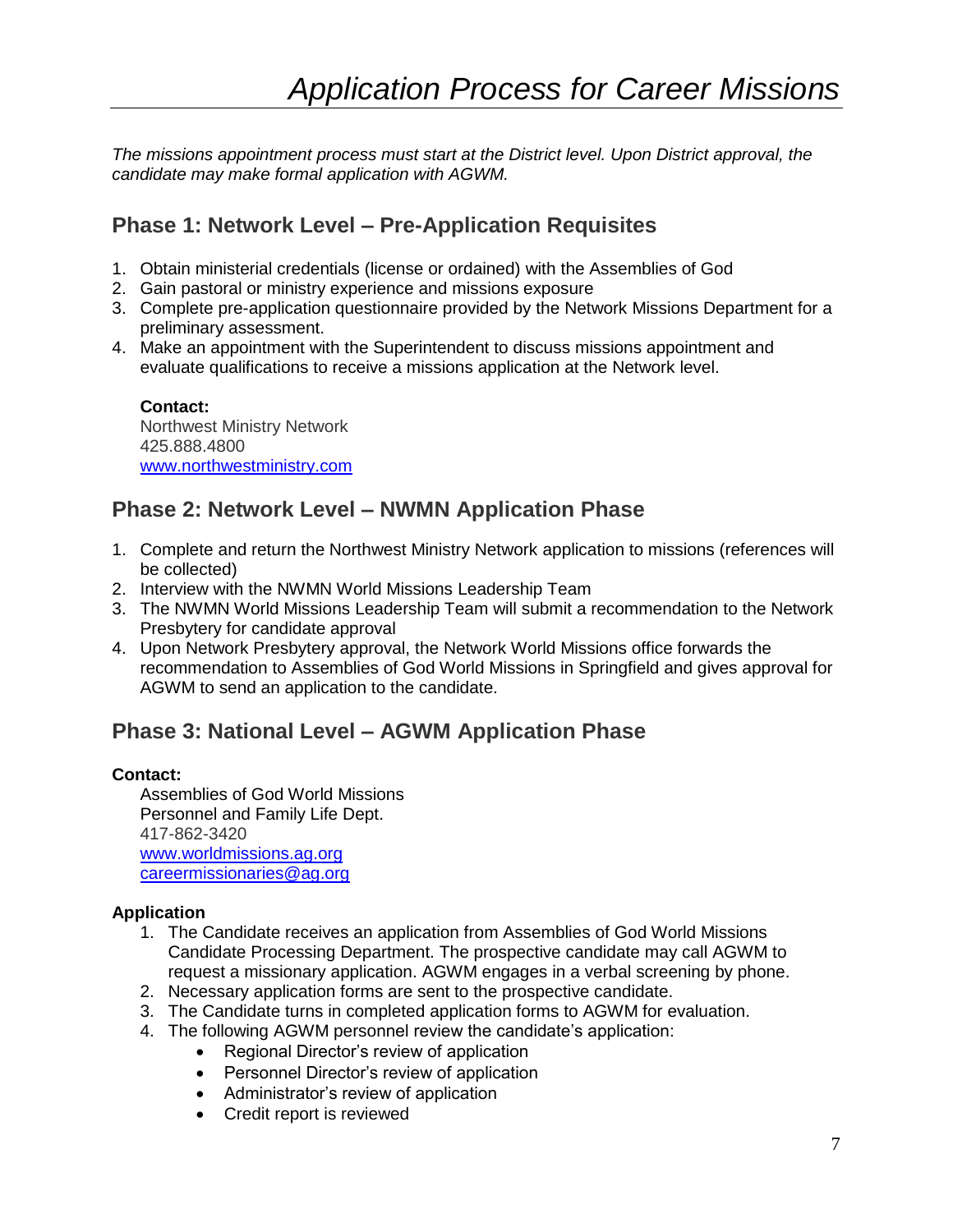*The missions appointment process must start at the District level. Upon District approval, the candidate may make formal application with AGWM.* 

## **Phase 1: Network Level – Pre-Application Requisites**

- 1. Obtain ministerial credentials (license or ordained) with the Assemblies of God
- 2. Gain pastoral or ministry experience and missions exposure
- 3. Complete pre-application questionnaire provided by the Network Missions Department for a preliminary assessment.
- 4. Make an appointment with the Superintendent to discuss missions appointment and evaluate qualifications to receive a missions application at the Network level.

**Contact:** Northwest Ministry Network 425.888.4800 [www.northwestministry.com](http://www.northwestministry.com/)

### **Phase 2: Network Level – NWMN Application Phase**

- 1. Complete and return the Northwest Ministry Network application to missions (references will be collected)
- 2. Interview with the NWMN World Missions Leadership Team
- 3. The NWMN World Missions Leadership Team will submit a recommendation to the Network Presbytery for candidate approval
- 4. Upon Network Presbytery approval, the Network World Missions office forwards the recommendation to Assemblies of God World Missions in Springfield and gives approval for AGWM to send an application to the candidate.

# **Phase 3: National Level – AGWM Application Phase**

#### **Contact:**

Assemblies of God World Missions Personnel and Family Life Dept. 417-862-3420 [www.worldmissions.ag.org](http://www.worldmissions.ag.org/) [careermissionaries@ag.org](mailto:careermissionaries@ag.org)

#### **Application**

- 1. The Candidate receives an application from Assemblies of God World Missions Candidate Processing Department. The prospective candidate may call AGWM to request a missionary application. AGWM engages in a verbal screening by phone.
- 2. Necessary application forms are sent to the prospective candidate.
- 3. The Candidate turns in completed application forms to AGWM for evaluation.
- 4. The following AGWM personnel review the candidate's application:
	- Regional Director's review of application
	- Personnel Director's review of application
	- Administrator's review of application
	- Credit report is reviewed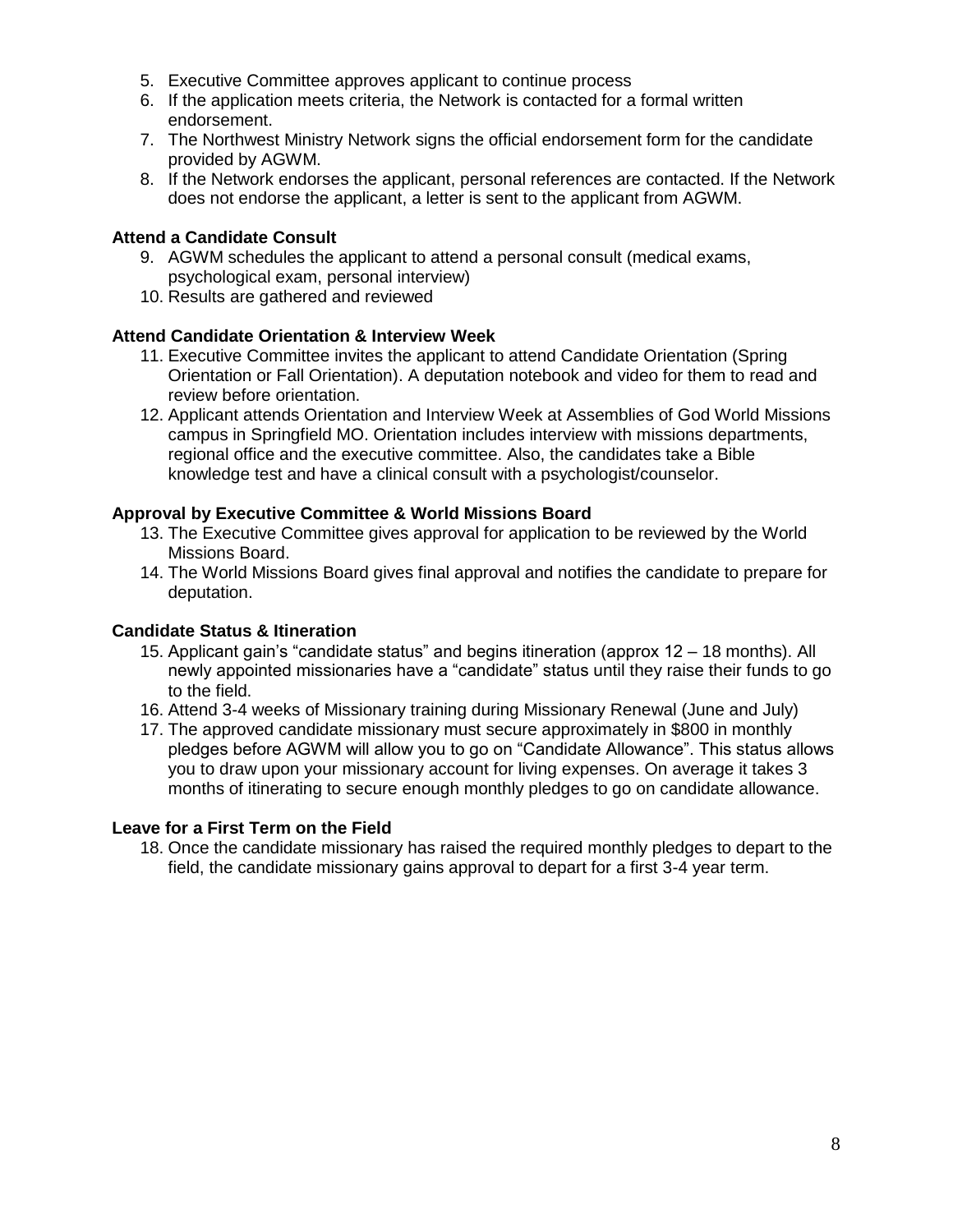- 5. Executive Committee approves applicant to continue process
- 6. If the application meets criteria, the Network is contacted for a formal written endorsement.
- 7. The Northwest Ministry Network signs the official endorsement form for the candidate provided by AGWM.
- 8. If the Network endorses the applicant, personal references are contacted. If the Network does not endorse the applicant, a letter is sent to the applicant from AGWM.

#### **Attend a Candidate Consult**

- 9. AGWM schedules the applicant to attend a personal consult (medical exams, psychological exam, personal interview)
- 10. Results are gathered and reviewed

#### **Attend Candidate Orientation & Interview Week**

- 11. Executive Committee invites the applicant to attend Candidate Orientation (Spring Orientation or Fall Orientation). A deputation notebook and video for them to read and review before orientation.
- 12. Applicant attends Orientation and Interview Week at Assemblies of God World Missions campus in Springfield MO. Orientation includes interview with missions departments, regional office and the executive committee. Also, the candidates take a Bible knowledge test and have a clinical consult with a psychologist/counselor.

#### **Approval by Executive Committee & World Missions Board**

- 13. The Executive Committee gives approval for application to be reviewed by the World Missions Board.
- 14. The World Missions Board gives final approval and notifies the candidate to prepare for deputation.

#### **Candidate Status & Itineration**

- 15. Applicant gain's "candidate status" and begins itineration (approx 12 18 months). All newly appointed missionaries have a "candidate" status until they raise their funds to go to the field.
- 16. Attend 3-4 weeks of Missionary training during Missionary Renewal (June and July)
- 17. The approved candidate missionary must secure approximately in \$800 in monthly pledges before AGWM will allow you to go on "Candidate Allowance". This status allows you to draw upon your missionary account for living expenses. On average it takes 3 months of itinerating to secure enough monthly pledges to go on candidate allowance.

#### **Leave for a First Term on the Field**

18. Once the candidate missionary has raised the required monthly pledges to depart to the field, the candidate missionary gains approval to depart for a first 3-4 year term.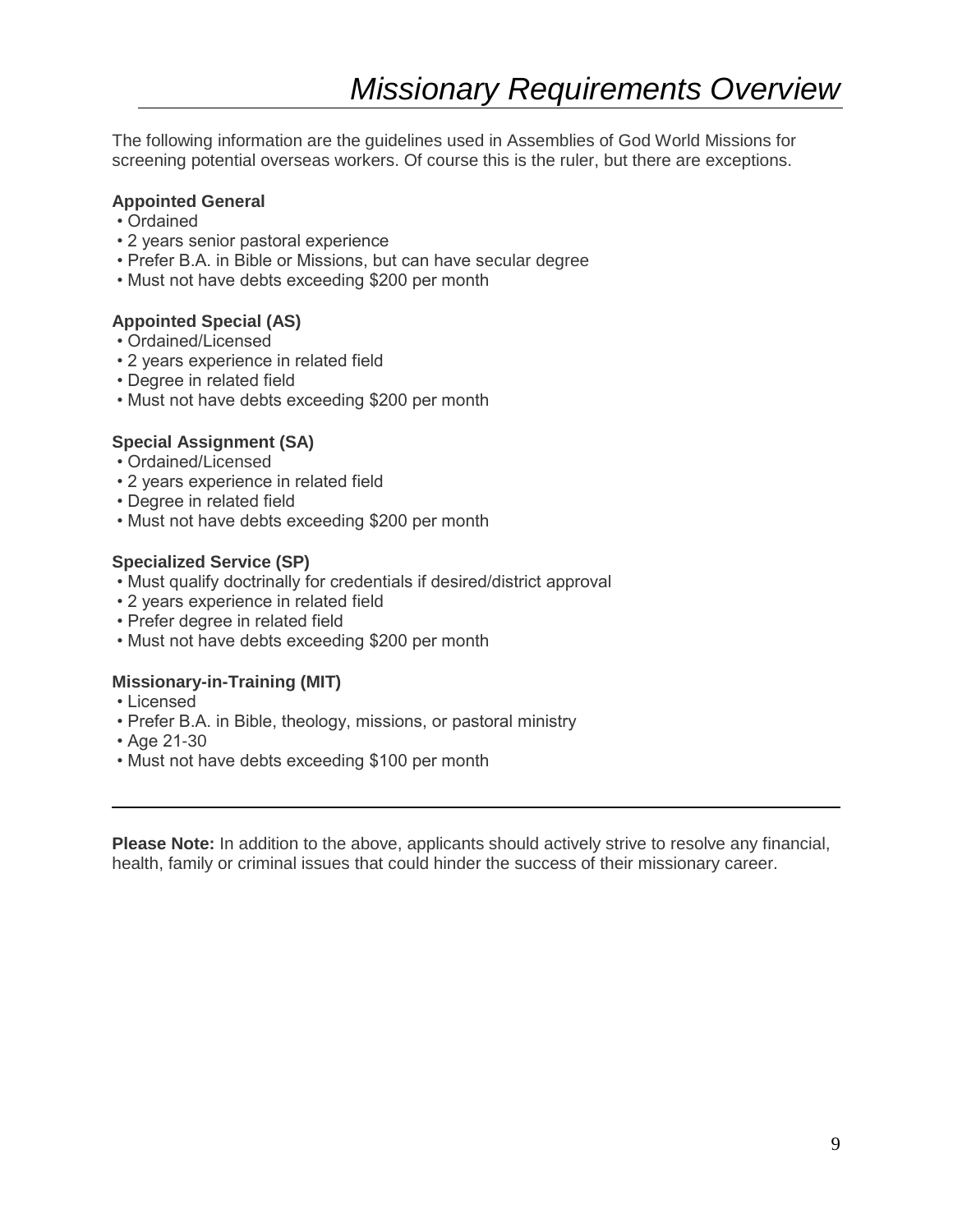The following information are the guidelines used in Assemblies of God World Missions for screening potential overseas workers. Of course this is the ruler, but there are exceptions.

#### **Appointed General**

- Ordained
- 2 years senior pastoral experience
- Prefer B.A. in Bible or Missions, but can have secular degree
- Must not have debts exceeding \$200 per month

#### **Appointed Special (AS)**

- Ordained/Licensed
- 2 years experience in related field
- Degree in related field
- Must not have debts exceeding \$200 per month

#### **Special Assignment (SA)**

- Ordained/Licensed
- 2 years experience in related field
- Degree in related field
- Must not have debts exceeding \$200 per month

#### **Specialized Service (SP)**

- Must qualify doctrinally for credentials if desired/district approval
- 2 years experience in related field
- Prefer degree in related field
- Must not have debts exceeding \$200 per month

#### **Missionary-in-Training (MIT)**

- Licensed
- Prefer B.A. in Bible, theology, missions, or pastoral ministry
- Age 21-30
- Must not have debts exceeding \$100 per month

**Please Note:** In addition to the above, applicants should actively strive to resolve any financial, health, family or criminal issues that could hinder the success of their missionary career.